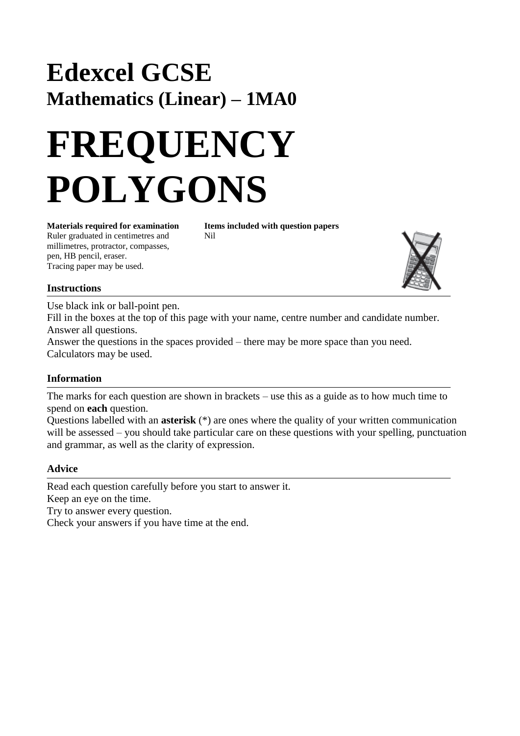## **Edexcel GCSE Mathematics (Linear) – 1MA0**

## **FREQUENCY POLYGONS**

**Materials required for examination Items included with question papers** Ruler graduated in centimetres and Nil millimetres, protractor, compasses, pen, HB pencil, eraser. Tracing paper may be used.



Use black ink or ball-point pen. Fill in the boxes at the top of this page with your name, centre number and candidate number. Answer all questions.

Answer the questions in the spaces provided – there may be more space than you need. Calculators may be used.

## **Information**

The marks for each question are shown in brackets – use this as a guide as to how much time to spend on **each** question.

Questions labelled with an **asterisk** (\*) are ones where the quality of your written communication will be assessed – you should take particular care on these questions with your spelling, punctuation and grammar, as well as the clarity of expression.

## **Advice**

Read each question carefully before you start to answer it. Keep an eye on the time.

Try to answer every question.

Check your answers if you have time at the end.

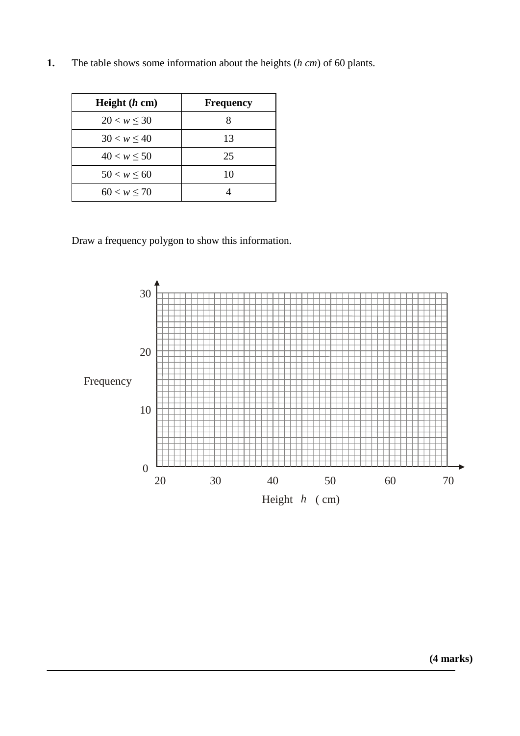| 1. |  | The table shows some information about the heights $(h \text{ cm})$ of 60 plants. |  |  |  |
|----|--|-----------------------------------------------------------------------------------|--|--|--|
|----|--|-----------------------------------------------------------------------------------|--|--|--|

| Height $(h \text{ cm})$ | <b>Frequency</b> |
|-------------------------|------------------|
| $20 < w \leq 30$        | 8                |
| $30 < w \leq 40$        | 13               |
| $40 < w \le 50$         | 25               |
| $50 < w \le 60$         | 10               |
| 60 < w < 70             |                  |

Draw a frequency polygon to show this information.



**(4 marks)**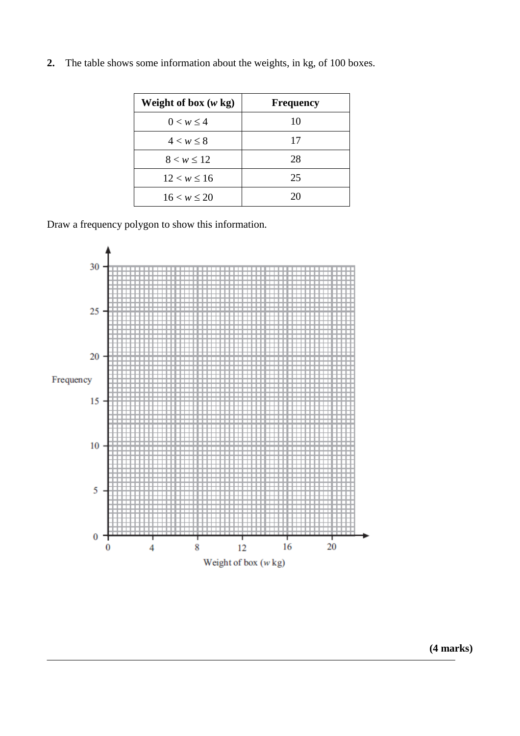| Weight of box $(w \text{ kg})$ | <b>Frequency</b> |
|--------------------------------|------------------|
| $0 < w \leq 4$                 | 10               |
| 4 < w < 8                      | 17               |
| $8 < w \le 12$                 | 28               |
| $12 < w \le 16$                | 25               |
| 16 < w < 20                    | 20               |

**2.** The table shows some information about the weights, in kg, of 100 boxes.

Draw a frequency polygon to show this information.



**(4 marks)**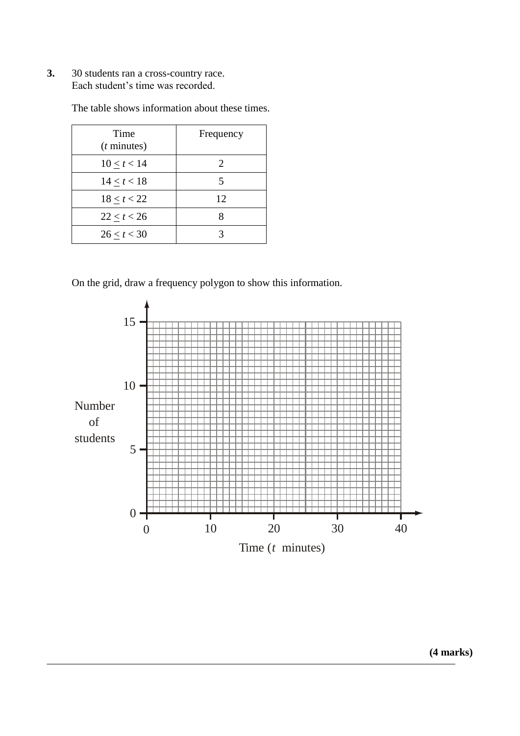**3.** 30 students ran a cross-country race. Each student's time was recorded.

| Time<br>$(t \text{ minutes})$ | Frequency |
|-------------------------------|-----------|
| $10 \le t < 14$               | 2         |
| 14 < t < 18                   | 5         |
| $18 \le t < 22$               | 12        |
| 22 < t < 26                   |           |
| 26 < t < 30                   |           |

The table shows information about these times.

On the grid, draw a frequency polygon to show this information.

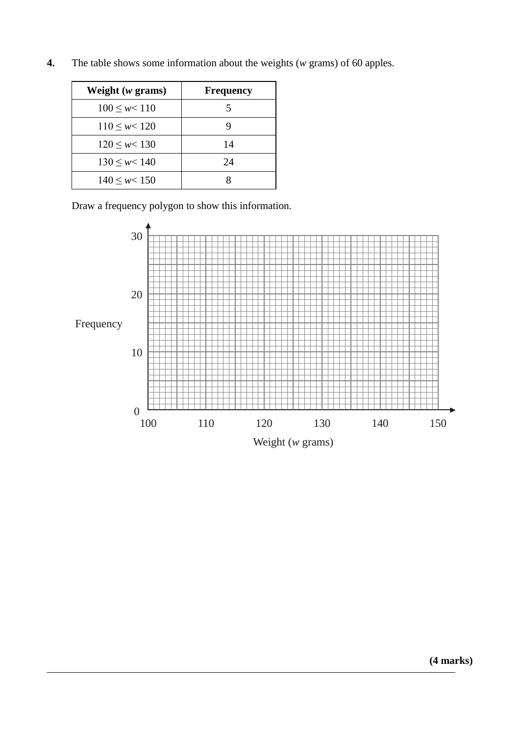| Weight (w grams)      | <b>Frequency</b> |
|-----------------------|------------------|
| $100 \leq w < 110$    | 5                |
| $110 \leq w \leq 120$ | g                |
| $120 \leq w < 130$    | 14               |
| $130 \leq w < 140$    | 24               |
| $140 \leq w < 150$    |                  |

**4.** The table shows some information about the weights (*w* grams) of 60 apples.

Draw a frequency polygon to show this information.

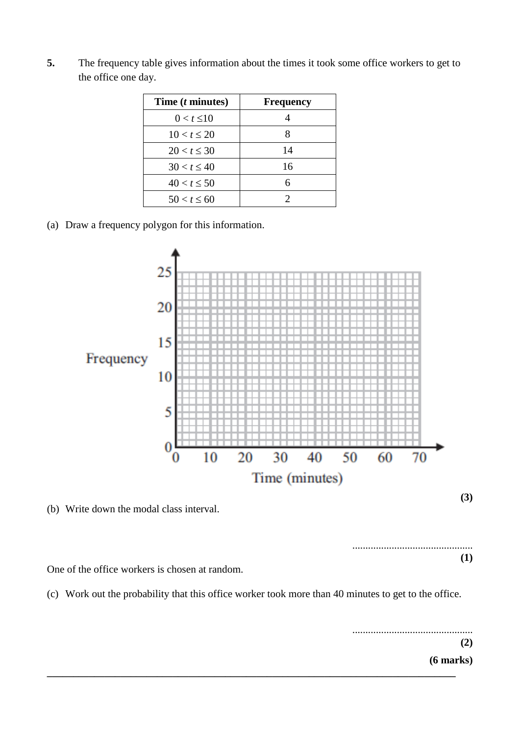| Time ( <i>t</i> minutes) | <b>Frequency</b> |
|--------------------------|------------------|
| $0 < t \leq 10$          |                  |
| 10 < t < 20              |                  |
| $20 < t \leq 30$         | 14               |
| 30 < t < 40              | 16               |
| $40 < t \leq 50$         |                  |
| $50 < t \leq 60$         |                  |

**5.** The frequency table gives information about the times it took some office workers to get to the office one day.

(a) Draw a frequency polygon for this information.



(b) Write down the modal class interval.

.............................................. **(1)**

One of the office workers is chosen at random.

(c) Work out the probability that this office worker took more than 40 minutes to get to the office.

**\_\_\_\_\_\_\_\_\_\_\_\_\_\_\_\_\_\_\_\_\_\_\_\_\_\_\_\_\_\_\_\_\_\_\_\_\_\_\_\_\_\_\_\_\_\_\_\_\_\_\_\_\_\_\_\_\_\_\_\_\_\_\_\_\_\_\_\_\_\_\_\_\_\_\_\_\_\_**

.............................................. **(2) (6 marks)**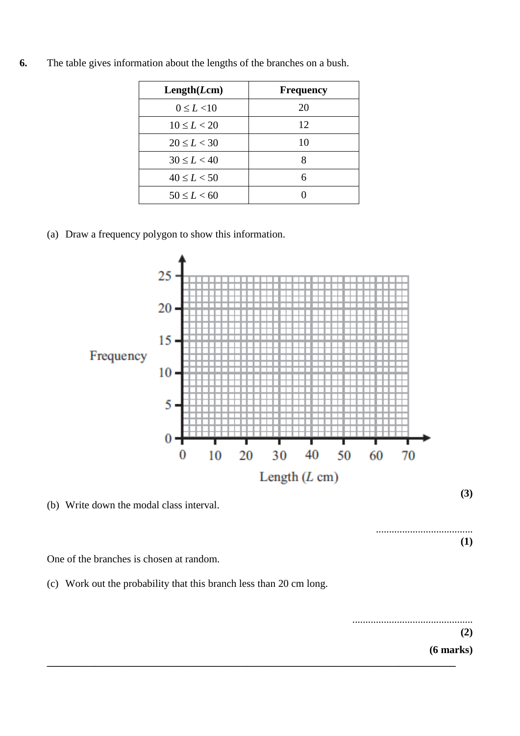| Length(Lcm)     | <b>Frequency</b> |
|-----------------|------------------|
| $0 \le L < 10$  | 20               |
| $10 \le L < 20$ | 12               |
| $20 \le L < 30$ | 10               |
| $30 \le L < 40$ |                  |
| $40 \le L < 50$ | 6                |
| $50 \le L < 60$ |                  |

**6.** The table gives information about the lengths of the branches on a bush.

(a) Draw a frequency polygon to show this information.



(b) Write down the modal class interval.

One of the branches is chosen at random.

(c) Work out the probability that this branch less than 20 cm long.

.............................................. **(2) (6 marks) \_\_\_\_\_\_\_\_\_\_\_\_\_\_\_\_\_\_\_\_\_\_\_\_\_\_\_\_\_\_\_\_\_\_\_\_\_\_\_\_\_\_\_\_\_\_\_\_\_\_\_\_\_\_\_\_\_\_\_\_\_\_\_\_\_\_\_\_\_\_\_\_\_\_\_\_\_\_**

.....................................

**(1)**